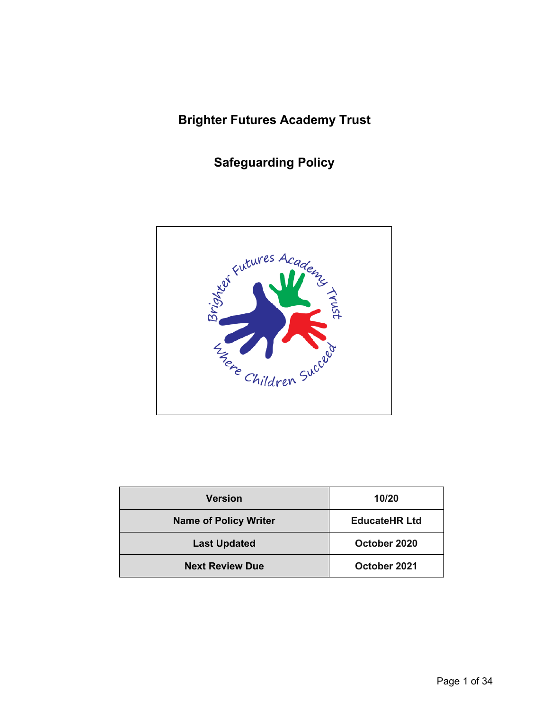# **Brighter Futures Academy Trust**

**Safeguarding Policy**



| <b>Version</b>               | 10/20                |  |  |
|------------------------------|----------------------|--|--|
| <b>Name of Policy Writer</b> | <b>EducateHR Ltd</b> |  |  |
| <b>Last Updated</b>          | October 2020         |  |  |
| <b>Next Review Due</b>       | October 2021         |  |  |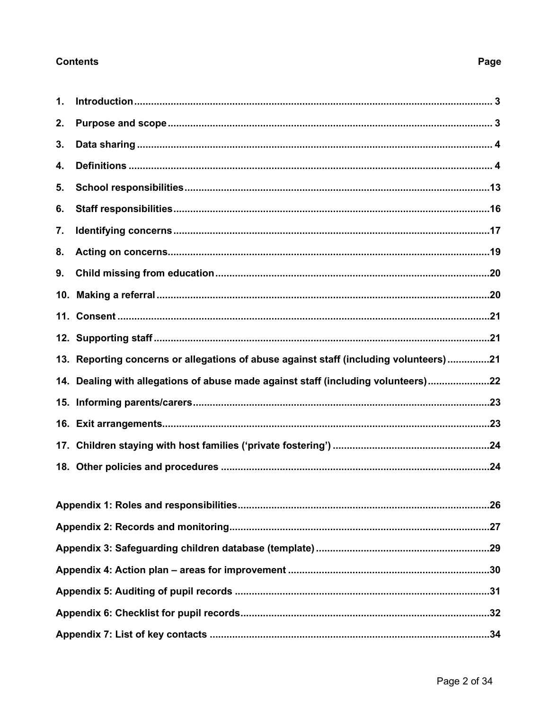# **Contents**

# Page

| $\mathbf 1$ . |                                                                                       |
|---------------|---------------------------------------------------------------------------------------|
| 2.            |                                                                                       |
| 3.            |                                                                                       |
| 4.            |                                                                                       |
| 5.            |                                                                                       |
| 6.            |                                                                                       |
| 7.            |                                                                                       |
| 8.            |                                                                                       |
| 9.            |                                                                                       |
|               |                                                                                       |
|               |                                                                                       |
|               |                                                                                       |
|               | 13. Reporting concerns or allegations of abuse against staff (including volunteers)21 |
|               |                                                                                       |
|               | 14. Dealing with allegations of abuse made against staff (including volunteers)22     |
|               |                                                                                       |
|               |                                                                                       |
|               |                                                                                       |
|               |                                                                                       |
|               |                                                                                       |
|               |                                                                                       |
|               |                                                                                       |
|               |                                                                                       |
|               |                                                                                       |
|               |                                                                                       |
|               |                                                                                       |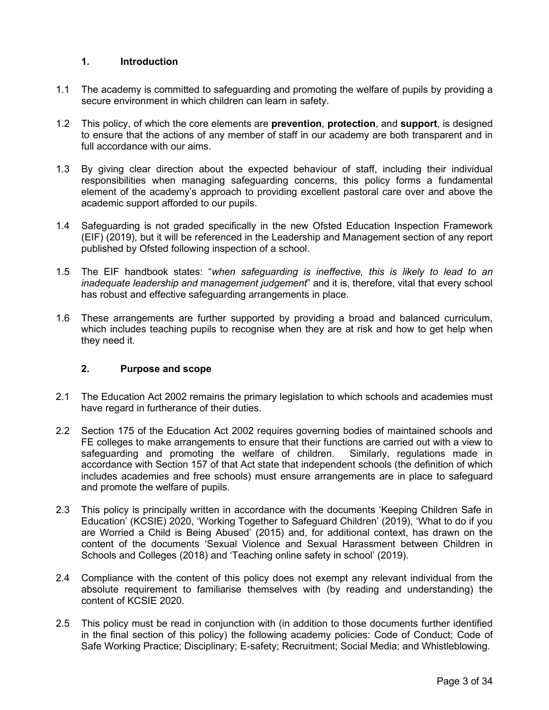# <span id="page-2-0"></span>**1. Introduction**

- 1.1 The academy is committed to safeguarding and promoting the welfare of pupils by providing a secure environment in which children can learn in safety.
- 1.2 This policy, of which the core elements are **prevention**, **protection**, and **support**, is designed to ensure that the actions of any member of staff in our academy are both transparent and in full accordance with our aims.
- 1.3 By giving clear direction about the expected behaviour of staff, including their individual responsibilities when managing safeguarding concerns, this policy forms a fundamental element of the academy's approach to providing excellent pastoral care over and above the academic support afforded to our pupils.
- 1.4 Safeguarding is not graded specifically in the new Ofsted Education Inspection Framework (EIF) (2019), but it will be referenced in the Leadership and Management section of any report published by Ofsted following inspection of a school.
- 1.5 The EIF handbook states: "*when safeguarding is ineffective, this is likely to lead to an inadequate leadership and management judgement*" and it is, therefore, vital that every school has robust and effective safeguarding arrangements in place.
- 1.6 These arrangements are further supported by providing a broad and balanced curriculum, which includes teaching pupils to recognise when they are at risk and how to get help when they need it.

# <span id="page-2-1"></span>**2. Purpose and scope**

- 2.1 The Education Act 2002 remains the primary legislation to which schools and academies must have regard in furtherance of their duties.
- 2.2 Section 175 of the Education Act 2002 requires governing bodies of maintained schools and FE colleges to make arrangements to ensure that their functions are carried out with a view to safeguarding and promoting the welfare of children. Similarly, regulations made in safeguarding and promoting the welfare of children. accordance with Section 157 of that Act state that independent schools (the definition of which includes academies and free schools) must ensure arrangements are in place to safeguard and promote the welfare of pupils.
- 2.3 This policy is principally written in accordance with the documents 'Keeping Children Safe in Education' (KCSIE) 2020, 'Working Together to Safeguard Children' (2019), 'What to do if you are Worried a Child is Being Abused' (2015) and, for additional context, has drawn on the content of the documents 'Sexual Violence and Sexual Harassment between Children in Schools and Colleges (2018) and 'Teaching online safety in school' (2019).
- 2.4 Compliance with the content of this policy does not exempt any relevant individual from the absolute requirement to familiarise themselves with (by reading and understanding) the content of KCSIE 2020.
- 2.5 This policy must be read in conjunction with (in addition to those documents further identified in the final section of this policy) the following academy policies: Code of Conduct; Code of Safe Working Practice; Disciplinary; E-safety; Recruitment; Social Media; and Whistleblowing.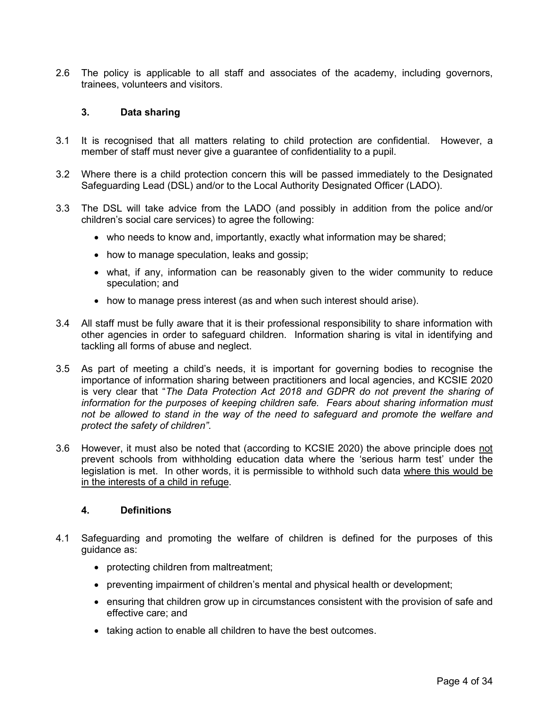2.6 The policy is applicable to all staff and associates of the academy, including governors, trainees, volunteers and visitors.

#### <span id="page-3-0"></span>**3. Data sharing**

- 3.1 It is recognised that all matters relating to child protection are confidential. However, a member of staff must never give a guarantee of confidentiality to a pupil.
- 3.2 Where there is a child protection concern this will be passed immediately to the Designated Safeguarding Lead (DSL) and/or to the Local Authority Designated Officer (LADO).
- 3.3 The DSL will take advice from the LADO (and possibly in addition from the police and/or children's social care services) to agree the following:
	- who needs to know and, importantly, exactly what information may be shared;
	- how to manage speculation, leaks and gossip;
	- what, if any, information can be reasonably given to the wider community to reduce speculation; and
	- how to manage press interest (as and when such interest should arise).
- 3.4 All staff must be fully aware that it is their professional responsibility to share information with other agencies in order to safeguard children. Information sharing is vital in identifying and tackling all forms of abuse and neglect.
- 3.5 As part of meeting a child's needs, it is important for governing bodies to recognise the importance of information sharing between practitioners and local agencies, and KCSIE 2020 is very clear that "*The Data Protection Act 2018 and GDPR do not prevent the sharing of information for the purposes of keeping children safe. Fears about sharing information must not be allowed to stand in the way of the need to safeguard and promote the welfare and protect the safety of children"*.
- 3.6 However, it must also be noted that (according to KCSIE 2020) the above principle does not prevent schools from withholding education data where the 'serious harm test' under the legislation is met. In other words, it is permissible to withhold such data where this would be in the interests of a child in refuge.

#### <span id="page-3-1"></span>**4. Definitions**

- 4.1 Safeguarding and promoting the welfare of children is defined for the purposes of this guidance as:
	- protecting children from maltreatment;
	- preventing impairment of children's mental and physical health or development;
	- ensuring that children grow up in circumstances consistent with the provision of safe and effective care; and
	- taking action to enable all children to have the best outcomes.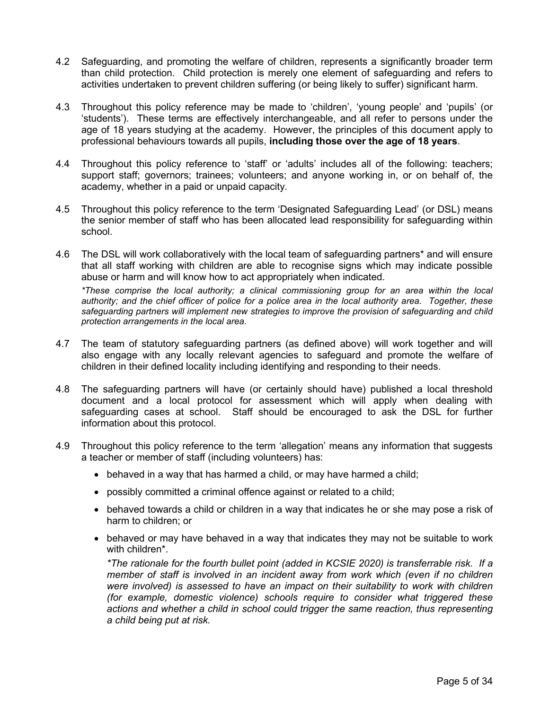- 4.2 Safeguarding, and promoting the welfare of children, represents a significantly broader term than child protection. Child protection is merely one element of safeguarding and refers to activities undertaken to prevent children suffering (or being likely to suffer) significant harm.
- 4.3 Throughout this policy reference may be made to 'children', 'young people' and 'pupils' (or 'students'). These terms are effectively interchangeable, and all refer to persons under the age of 18 years studying at the academy. However, the principles of this document apply to professional behaviours towards all pupils, **including those over the age of 18 years**.
- 4.4 Throughout this policy reference to 'staff' or 'adults' includes all of the following: teachers; support staff; governors; trainees; volunteers; and anyone working in, or on behalf of, the academy, whether in a paid or unpaid capacity.
- 4.5 Throughout this policy reference to the term 'Designated Safeguarding Lead' (or DSL) means the senior member of staff who has been allocated lead responsibility for safeguarding within school.
- 4.6 The DSL will work collaboratively with the local team of safeguarding partners\* and will ensure that all staff working with children are able to recognise signs which may indicate possible abuse or harm and will know how to act appropriately when indicated.

*\*These comprise the local authority; a clinical commissioning group for an area within the local authority; and the chief officer of police for a police area in the local authority area. Together, these safeguarding partners will implement new strategies to improve the provision of safeguarding and child protection arrangements in the local area.*

- 4.7 The team of statutory safeguarding partners (as defined above) will work together and will also engage with any locally relevant agencies to safeguard and promote the welfare of children in their defined locality including identifying and responding to their needs.
- 4.8 The safeguarding partners will have (or certainly should have) published a local threshold document and a local protocol for assessment which will apply when dealing with safeguarding cases at school. Staff should be encouraged to ask the DSL for further information about this protocol.
- 4.9 Throughout this policy reference to the term 'allegation' means any information that suggests a teacher or member of staff (including volunteers) has:
	- behaved in a way that has harmed a child, or may have harmed a child;
	- possibly committed a criminal offence against or related to a child;
	- behaved towards a child or children in a way that indicates he or she may pose a risk of harm to children; or
	- behaved or may have behaved in a way that indicates they may not be suitable to work with children\*.

*\*The rationale for the fourth bullet point (added in KCSIE 2020) is transferrable risk. If a member of staff is involved in an incident away from work which (even if no children were involved) is assessed to have an impact on their suitability to work with children (for example, domestic violence) schools require to consider what triggered these actions and whether a child in school could trigger the same reaction, thus representing a child being put at risk.*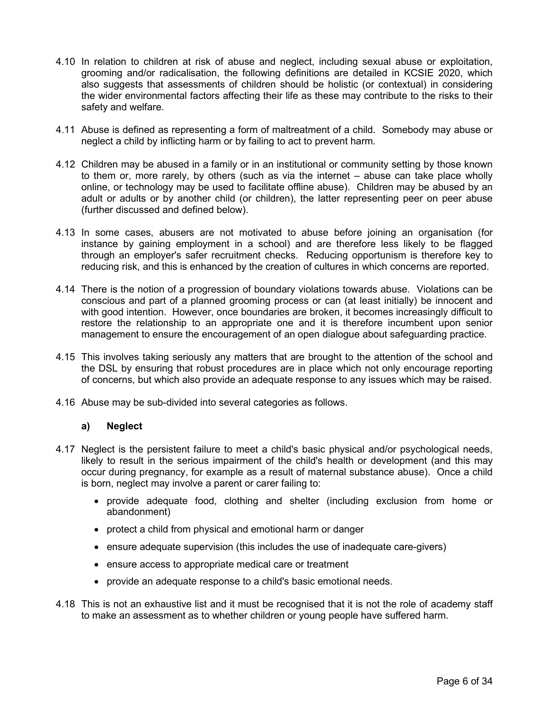- 4.10 In relation to children at risk of abuse and neglect, including sexual abuse or exploitation, grooming and/or radicalisation, the following definitions are detailed in KCSIE 2020, which also suggests that assessments of children should be holistic (or contextual) in considering the wider environmental factors affecting their life as these may contribute to the risks to their safety and welfare.
- 4.11 Abuse is defined as representing a form of maltreatment of a child. Somebody may abuse or neglect a child by inflicting harm or by failing to act to prevent harm.
- 4.12 Children may be abused in a family or in an institutional or community setting by those known to them or, more rarely, by others (such as via the internet – abuse can take place wholly online, or technology may be used to facilitate offline abuse). Children may be abused by an adult or adults or by another child (or children), the latter representing peer on peer abuse (further discussed and defined below).
- 4.13 In some cases, abusers are not motivated to abuse before joining an organisation (for instance by gaining employment in a school) and are therefore less likely to be flagged through an employer's safer recruitment checks. Reducing opportunism is therefore key to reducing risk, and this is enhanced by the creation of cultures in which concerns are reported.
- 4.14 There is the notion of a progression of boundary violations towards abuse. Violations can be conscious and part of a planned grooming process or can (at least initially) be innocent and with good intention. However, once boundaries are broken, it becomes increasingly difficult to restore the relationship to an appropriate one and it is therefore incumbent upon senior management to ensure the encouragement of an open dialogue about safeguarding practice.
- 4.15 This involves taking seriously any matters that are brought to the attention of the school and the DSL by ensuring that robust procedures are in place which not only encourage reporting of concerns, but which also provide an adequate response to any issues which may be raised.
- 4.16 Abuse may be sub-divided into several categories as follows.

# **a) Neglect**

- 4.17 Neglect is the persistent failure to meet a child's basic physical and/or psychological needs, likely to result in the serious impairment of the child's health or development (and this may occur during pregnancy, for example as a result of maternal substance abuse). Once a child is born, neglect may involve a parent or carer failing to:
	- provide adequate food, clothing and shelter (including exclusion from home or abandonment)
	- protect a child from physical and emotional harm or danger
	- ensure adequate supervision (this includes the use of inadequate care-givers)
	- ensure access to appropriate medical care or treatment
	- provide an adequate response to a child's basic emotional needs.
- 4.18 This is not an exhaustive list and it must be recognised that it is not the role of academy staff to make an assessment as to whether children or young people have suffered harm.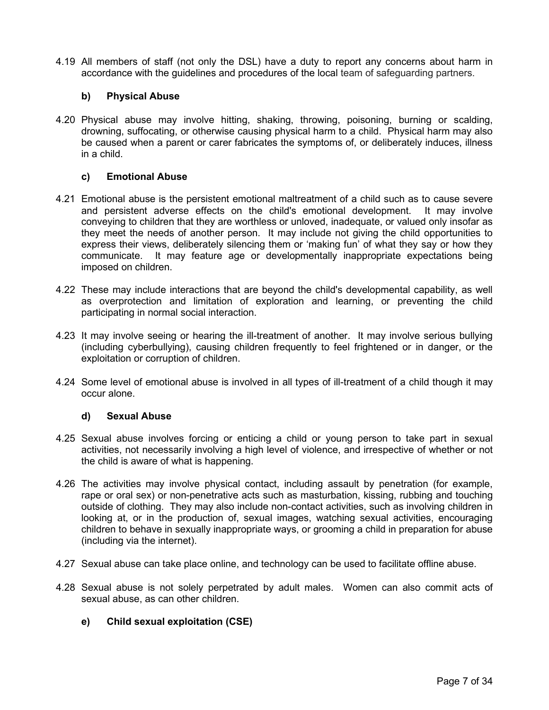4.19 All members of staff (not only the DSL) have a duty to report any concerns about harm in accordance with the guidelines and procedures of the local team of safeguarding partners.

# **b) Physical Abuse**

4.20 Physical abuse may involve hitting, shaking, throwing, poisoning, burning or scalding, drowning, suffocating, or otherwise causing physical harm to a child. Physical harm may also be caused when a parent or carer fabricates the symptoms of, or deliberately induces, illness in a child.

# **c) Emotional Abuse**

- 4.21 Emotional abuse is the persistent emotional maltreatment of a child such as to cause severe and persistent adverse effects on the child's emotional development. It may involve conveying to children that they are worthless or unloved, inadequate, or valued only insofar as they meet the needs of another person. It may include not giving the child opportunities to express their views, deliberately silencing them or 'making fun' of what they say or how they communicate. It may feature age or developmentally inappropriate expectations being imposed on children.
- 4.22 These may include interactions that are beyond the child's developmental capability, as well as overprotection and limitation of exploration and learning, or preventing the child participating in normal social interaction.
- 4.23 It may involve seeing or hearing the ill-treatment of another. It may involve serious bullying (including cyberbullying), causing children frequently to feel frightened or in danger, or the exploitation or corruption of children.
- 4.24 Some level of emotional abuse is involved in all types of ill-treatment of a child though it may occur alone.

# **d) Sexual Abuse**

- 4.25 Sexual abuse involves forcing or enticing a child or young person to take part in sexual activities, not necessarily involving a high level of violence, and irrespective of whether or not the child is aware of what is happening.
- 4.26 The activities may involve physical contact, including assault by penetration (for example, rape or oral sex) or non-penetrative acts such as masturbation, kissing, rubbing and touching outside of clothing. They may also include non-contact activities, such as involving children in looking at, or in the production of, sexual images, watching sexual activities, encouraging children to behave in sexually inappropriate ways, or grooming a child in preparation for abuse (including via the internet).
- 4.27 Sexual abuse can take place online, and technology can be used to facilitate offline abuse.
- 4.28 Sexual abuse is not solely perpetrated by adult males. Women can also commit acts of sexual abuse, as can other children.

# **e) Child sexual exploitation (CSE)**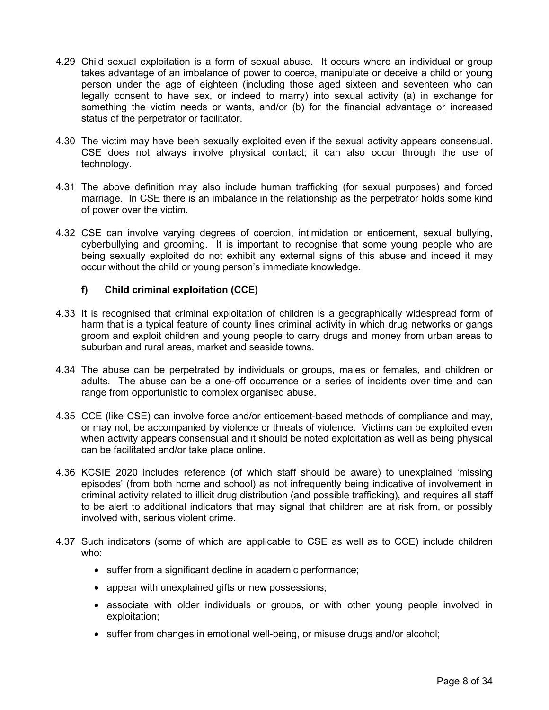- 4.29 Child sexual exploitation is a form of sexual abuse. It occurs where an individual or group takes advantage of an imbalance of power to coerce, manipulate or deceive a child or young person under the age of eighteen (including those aged sixteen and seventeen who can legally consent to have sex, or indeed to marry) into sexual activity (a) in exchange for something the victim needs or wants, and/or (b) for the financial advantage or increased status of the perpetrator or facilitator.
- 4.30 The victim may have been sexually exploited even if the sexual activity appears consensual. CSE does not always involve physical contact; it can also occur through the use of technology.
- 4.31 The above definition may also include human trafficking (for sexual purposes) and forced marriage. In CSE there is an imbalance in the relationship as the perpetrator holds some kind of power over the victim.
- 4.32 CSE can involve varying degrees of coercion, intimidation or enticement, sexual bullying, cyberbullying and grooming. It is important to recognise that some young people who are being sexually exploited do not exhibit any external signs of this abuse and indeed it may occur without the child or young person's immediate knowledge.

# **f) Child criminal exploitation (CCE)**

- 4.33 It is recognised that criminal exploitation of children is a geographically widespread form of harm that is a typical feature of county lines criminal activity in which drug networks or gangs groom and exploit children and young people to carry drugs and money from urban areas to suburban and rural areas, market and seaside towns.
- 4.34 The abuse can be perpetrated by individuals or groups, males or females, and children or adults. The abuse can be a one-off occurrence or a series of incidents over time and can range from opportunistic to complex organised abuse.
- 4.35 CCE (like CSE) can involve force and/or enticement-based methods of compliance and may, or may not, be accompanied by violence or threats of violence. Victims can be exploited even when activity appears consensual and it should be noted exploitation as well as being physical can be facilitated and/or take place online.
- 4.36 KCSIE 2020 includes reference (of which staff should be aware) to unexplained 'missing episodes' (from both home and school) as not infrequently being indicative of involvement in criminal activity related to illicit drug distribution (and possible trafficking), and requires all staff to be alert to additional indicators that may signal that children are at risk from, or possibly involved with, serious violent crime.
- 4.37 Such indicators (some of which are applicable to CSE as well as to CCE) include children who:
	- suffer from a significant decline in academic performance;
	- appear with unexplained gifts or new possessions;
	- associate with older individuals or groups, or with other young people involved in exploitation;
	- suffer from changes in emotional well-being, or misuse drugs and/or alcohol;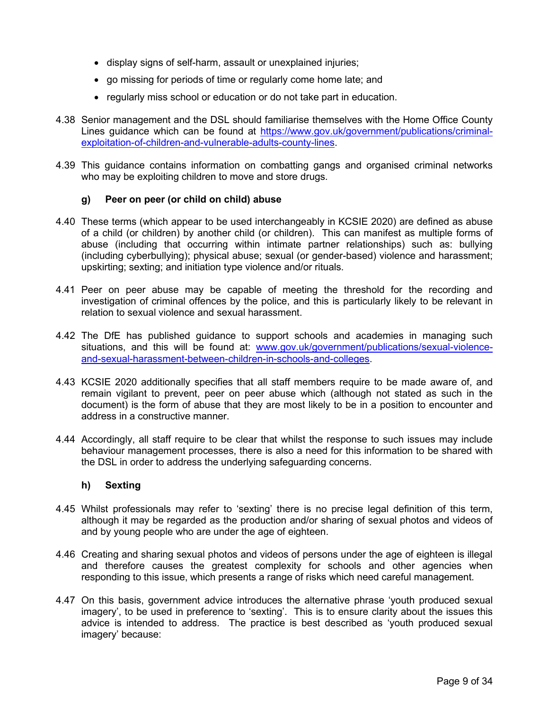- display signs of self-harm, assault or unexplained injuries;
- go missing for periods of time or regularly come home late; and
- regularly miss school or education or do not take part in education.
- 4.38 Senior management and the DSL should familiarise themselves with the Home Office County Lines guidance which can be found at [https://www.gov.uk/government/publications/criminal](https://www.gov.uk/government/publications/criminal-exploitation-of-children-and-vulnerable-adults-county-lines)[exploitation-of-children-and-vulnerable-adults-county-lines.](https://www.gov.uk/government/publications/criminal-exploitation-of-children-and-vulnerable-adults-county-lines)
- 4.39 This guidance contains information on combatting gangs and organised criminal networks who may be exploiting children to move and store drugs.

#### **g) Peer on peer (or child on child) abuse**

- 4.40 These terms (which appear to be used interchangeably in KCSIE 2020) are defined as abuse of a child (or children) by another child (or children). This can manifest as multiple forms of abuse (including that occurring within intimate partner relationships) such as: bullying (including cyberbullying); physical abuse; sexual (or gender-based) violence and harassment; upskirting; sexting; and initiation type violence and/or rituals.
- 4.41 Peer on peer abuse may be capable of meeting the threshold for the recording and investigation of criminal offences by the police, and this is particularly likely to be relevant in relation to sexual violence and sexual harassment.
- 4.42 The DfE has published guidance to support schools and academies in managing such situations, and this will be found at: [www.gov.uk/government/publications/sexual-violence](http://www.gov.uk/government/publications/sexual-violence-and-sexual-harassment-between-children-in-schools-and-colleges)[and-sexual-harassment-between-children-in-schools-and-colleges.](http://www.gov.uk/government/publications/sexual-violence-and-sexual-harassment-between-children-in-schools-and-colleges)
- 4.43 KCSIE 2020 additionally specifies that all staff members require to be made aware of, and remain vigilant to prevent, peer on peer abuse which (although not stated as such in the document) is the form of abuse that they are most likely to be in a position to encounter and address in a constructive manner.
- 4.44 Accordingly, all staff require to be clear that whilst the response to such issues may include behaviour management processes, there is also a need for this information to be shared with the DSL in order to address the underlying safeguarding concerns.

#### **h) Sexting**

- 4.45 Whilst professionals may refer to 'sexting' there is no precise legal definition of this term, although it may be regarded as the production and/or sharing of sexual photos and videos of and by young people who are under the age of eighteen.
- 4.46 Creating and sharing sexual photos and videos of persons under the age of eighteen is illegal and therefore causes the greatest complexity for schools and other agencies when responding to this issue, which presents a range of risks which need careful management.
- 4.47 On this basis, government advice introduces the alternative phrase 'youth produced sexual imagery', to be used in preference to 'sexting'. This is to ensure clarity about the issues this advice is intended to address. The practice is best described as 'youth produced sexual imagery' because: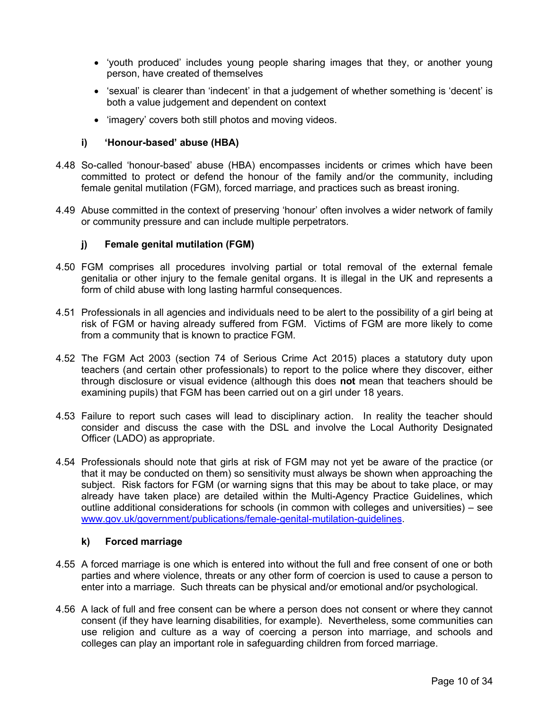- 'youth produced' includes young people sharing images that they, or another young person, have created of themselves
- 'sexual' is clearer than 'indecent' in that a judgement of whether something is 'decent' is both a value judgement and dependent on context
- 'imagery' covers both still photos and moving videos.

### **i) 'Honour-based' abuse (HBA)**

- 4.48 So-called 'honour-based' abuse (HBA) encompasses incidents or crimes which have been committed to protect or defend the honour of the family and/or the community, including female genital mutilation (FGM), forced marriage, and practices such as breast ironing.
- 4.49 Abuse committed in the context of preserving 'honour' often involves a wider network of family or community pressure and can include multiple perpetrators.

#### **j) Female genital mutilation (FGM)**

- 4.50 FGM comprises all procedures involving partial or total removal of the external female genitalia or other injury to the female genital organs. It is illegal in the UK and represents a form of child abuse with long lasting harmful consequences.
- 4.51 Professionals in all agencies and individuals need to be alert to the possibility of a girl being at risk of FGM or having already suffered from FGM. Victims of FGM are more likely to come from a community that is known to practice FGM.
- 4.52 The FGM Act 2003 (section 74 of Serious Crime Act 2015) places a statutory duty upon teachers (and certain other professionals) to report to the police where they discover, either through disclosure or visual evidence (although this does **not** mean that teachers should be examining pupils) that FGM has been carried out on a girl under 18 years.
- 4.53 Failure to report such cases will lead to disciplinary action. In reality the teacher should consider and discuss the case with the DSL and involve the Local Authority Designated Officer (LADO) as appropriate.
- 4.54 Professionals should note that girls at risk of FGM may not yet be aware of the practice (or that it may be conducted on them) so sensitivity must always be shown when approaching the subject. Risk factors for FGM (or warning signs that this may be about to take place, or may already have taken place) are detailed within the Multi-Agency Practice Guidelines, which outline additional considerations for schools (in common with colleges and universities) – see [www.gov.uk/government/publications/female-genital-mutilation-guidelines.](http://www.gov.uk/government/publications/female-genital-mutilation-guidelines)

#### **k) Forced marriage**

- 4.55 A forced marriage is one which is entered into without the full and free consent of one or both parties and where violence, threats or any other form of coercion is used to cause a person to enter into a marriage. Such threats can be physical and/or emotional and/or psychological.
- 4.56 A lack of full and free consent can be where a person does not consent or where they cannot consent (if they have learning disabilities, for example). Nevertheless, some communities can use religion and culture as a way of coercing a person into marriage, and schools and colleges can play an important role in safeguarding children from forced marriage.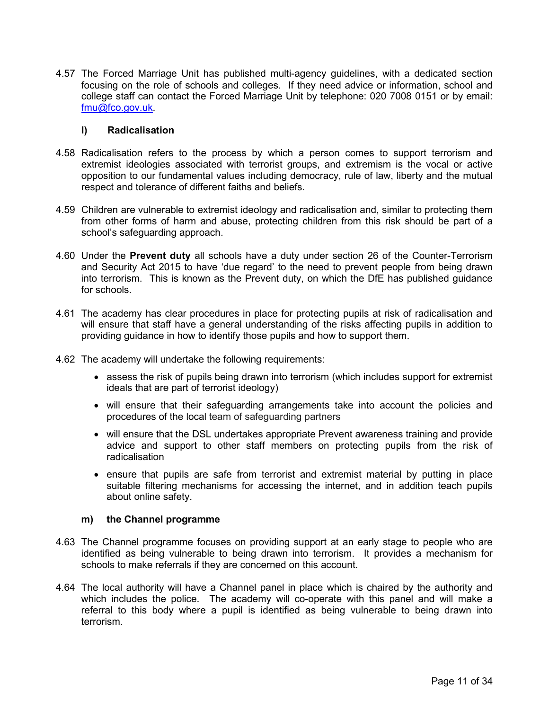4.57 The Forced Marriage Unit has published multi-agency guidelines, with a dedicated section focusing on the role of schools and colleges. If they need advice or information, school and college staff can contact the Forced Marriage Unit by telephone: 020 7008 0151 or by email: [fmu@fco.gov.uk.](mailto:fmu@fco.gov.uk)

#### **l) Radicalisation**

- 4.58 Radicalisation refers to the process by which a person comes to support terrorism and extremist ideologies associated with terrorist groups, and extremism is the vocal or active opposition to our fundamental values including democracy, rule of law, liberty and the mutual respect and tolerance of different faiths and beliefs.
- 4.59 Children are vulnerable to extremist ideology and radicalisation and, similar to protecting them from other forms of harm and abuse, protecting children from this risk should be part of a school's safeguarding approach.
- 4.60 Under the **Prevent duty** all schools have a duty under section 26 of the Counter-Terrorism and Security Act 2015 to have 'due regard' to the need to prevent people from being drawn into terrorism. This is known as the Prevent duty, on which the DfE has published guidance for schools.
- 4.61 The academy has clear procedures in place for protecting pupils at risk of radicalisation and will ensure that staff have a general understanding of the risks affecting pupils in addition to providing guidance in how to identify those pupils and how to support them.
- 4.62 The academy will undertake the following requirements:
	- assess the risk of pupils being drawn into terrorism (which includes support for extremist ideals that are part of terrorist ideology)
	- will ensure that their safeguarding arrangements take into account the policies and procedures of the local team of safeguarding partners
	- will ensure that the DSL undertakes appropriate Prevent awareness training and provide advice and support to other staff members on protecting pupils from the risk of radicalisation
	- ensure that pupils are safe from terrorist and extremist material by putting in place suitable filtering mechanisms for accessing the internet, and in addition teach pupils about online safety.

#### **m) the Channel programme**

- 4.63 The Channel programme focuses on providing support at an early stage to people who are identified as being vulnerable to being drawn into terrorism. It provides a mechanism for schools to make referrals if they are concerned on this account.
- 4.64 The local authority will have a Channel panel in place which is chaired by the authority and which includes the police. The academy will co-operate with this panel and will make a referral to this body where a pupil is identified as being vulnerable to being drawn into terrorism.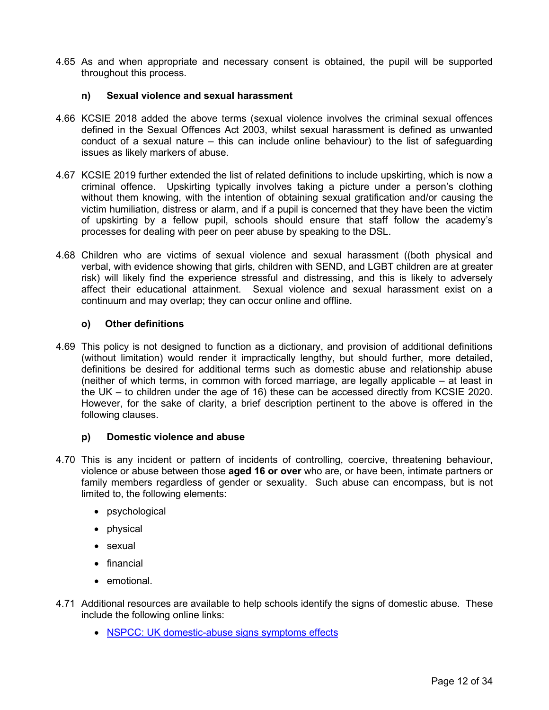4.65 As and when appropriate and necessary consent is obtained, the pupil will be supported throughout this process.

#### **n) Sexual violence and sexual harassment**

- 4.66 KCSIE 2018 added the above terms (sexual violence involves the criminal sexual offences defined in the Sexual Offences Act 2003, whilst sexual harassment is defined as unwanted conduct of a sexual nature – this can include online behaviour) to the list of safeguarding issues as likely markers of abuse.
- 4.67 KCSIE 2019 further extended the list of related definitions to include upskirting, which is now a criminal offence. Upskirting typically involves taking a picture under a person's clothing without them knowing, with the intention of obtaining sexual gratification and/or causing the victim humiliation, distress or alarm, and if a pupil is concerned that they have been the victim of upskirting by a fellow pupil, schools should ensure that staff follow the academy's processes for dealing with peer on peer abuse by speaking to the DSL.
- 4.68 Children who are victims of sexual violence and sexual harassment ((both physical and verbal, with evidence showing that girls, children with SEND, and LGBT children are at greater risk) will likely find the experience stressful and distressing, and this is likely to adversely affect their educational attainment. Sexual violence and sexual harassment exist on a continuum and may overlap; they can occur online and offline.

#### **o) Other definitions**

4.69 This policy is not designed to function as a dictionary, and provision of additional definitions (without limitation) would render it impractically lengthy, but should further, more detailed, definitions be desired for additional terms such as domestic abuse and relationship abuse (neither of which terms, in common with forced marriage, are legally applicable – at least in the UK – to children under the age of 16) these can be accessed directly from KCSIE 2020. However, for the sake of clarity, a brief description pertinent to the above is offered in the following clauses.

#### **p) Domestic violence and abuse**

- 4.70 This is any incident or pattern of incidents of controlling, coercive, threatening behaviour, violence or abuse between those **aged 16 or over** who are, or have been, intimate partners or family members regardless of gender or sexuality. Such abuse can encompass, but is not limited to, the following elements:
	- psychological
	- physical
	- sexual
	- financial
	- emotional.
- 4.71 Additional resources are available to help schools identify the signs of domestic abuse. These include the following online links:
	- [NSPCC: UK domestic-abuse signs symptoms effects](#page-3-1)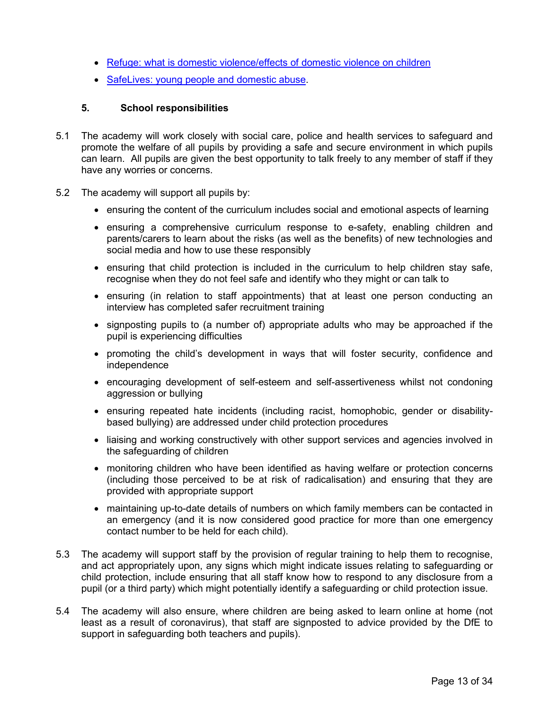- [Refuge: what is domestic violence/effects of domestic violence on children](#page-3-1)
- [SafeLives: young people and domestic abuse.](#page-3-1)

### <span id="page-12-0"></span>**5. School responsibilities**

- 5.1 The academy will work closely with social care, police and health services to safeguard and promote the welfare of all pupils by providing a safe and secure environment in which pupils can learn. All pupils are given the best opportunity to talk freely to any member of staff if they have any worries or concerns.
- 5.2 The academy will support all pupils by:
	- ensuring the content of the curriculum includes social and emotional aspects of learning
	- ensuring a comprehensive curriculum response to e-safety, enabling children and parents/carers to learn about the risks (as well as the benefits) of new technologies and social media and how to use these responsibly
	- ensuring that child protection is included in the curriculum to help children stay safe, recognise when they do not feel safe and identify who they might or can talk to
	- ensuring (in relation to staff appointments) that at least one person conducting an interview has completed safer recruitment training
	- signposting pupils to (a number of) appropriate adults who may be approached if the pupil is experiencing difficulties
	- promoting the child's development in ways that will foster security, confidence and independence
	- encouraging development of self-esteem and self-assertiveness whilst not condoning aggression or bullying
	- ensuring repeated hate incidents (including racist, homophobic, gender or disabilitybased bullying) are addressed under child protection procedures
	- liaising and working constructively with other support services and agencies involved in the safeguarding of children
	- monitoring children who have been identified as having welfare or protection concerns (including those perceived to be at risk of radicalisation) and ensuring that they are provided with appropriate support
	- maintaining up-to-date details of numbers on which family members can be contacted in an emergency (and it is now considered good practice for more than one emergency contact number to be held for each child).
- 5.3 The academy will support staff by the provision of regular training to help them to recognise, and act appropriately upon, any signs which might indicate issues relating to safeguarding or child protection, include ensuring that all staff know how to respond to any disclosure from a pupil (or a third party) which might potentially identify a safeguarding or child protection issue.
- 5.4 The academy will also ensure, where children are being asked to learn online at home (not least as a result of coronavirus), that staff are signposted to advice provided by the DfE to support in safeguarding both teachers and pupils).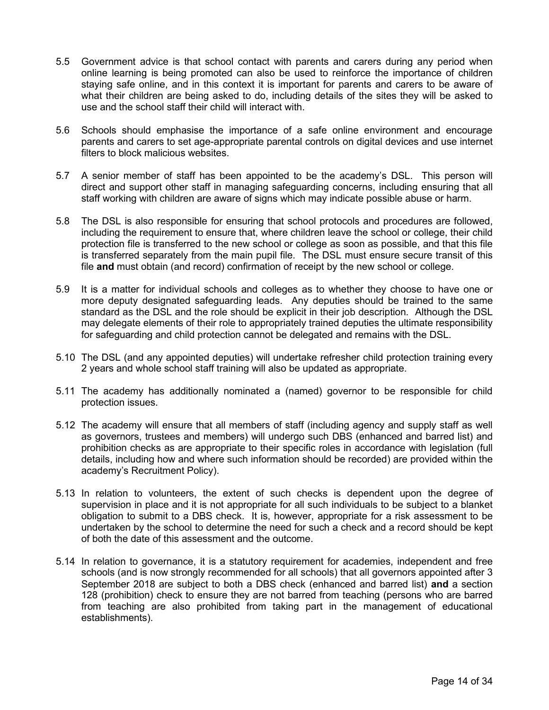- 5.5 Government advice is that school contact with parents and carers during any period when online learning is being promoted can also be used to reinforce the importance of children staying safe online, and in this context it is important for parents and carers to be aware of what their children are being asked to do, including details of the sites they will be asked to use and the school staff their child will interact with.
- 5.6 Schools should emphasise the importance of a safe online environment and encourage parents and carers to set age-appropriate parental controls on digital devices and use internet filters to block malicious websites.
- 5.7 A senior member of staff has been appointed to be the academy's DSL. This person will direct and support other staff in managing safeguarding concerns, including ensuring that all staff working with children are aware of signs which may indicate possible abuse or harm.
- 5.8 The DSL is also responsible for ensuring that school protocols and procedures are followed, including the requirement to ensure that, where children leave the school or college, their child protection file is transferred to the new school or college as soon as possible, and that this file is transferred separately from the main pupil file. The DSL must ensure secure transit of this file **and** must obtain (and record) confirmation of receipt by the new school or college.
- 5.9 It is a matter for individual schools and colleges as to whether they choose to have one or more deputy designated safeguarding leads. Any deputies should be trained to the same standard as the DSL and the role should be explicit in their job description.Although the DSL may delegate elements of their role to appropriately trained deputies the ultimate responsibility for safeguarding and child protection cannot be delegated and remains with the DSL.
- 5.10 The DSL (and any appointed deputies) will undertake refresher child protection training every 2 years and whole school staff training will also be updated as appropriate.
- 5.11 The academy has additionally nominated a (named) governor to be responsible for child protection issues.
- 5.12 The academy will ensure that all members of staff (including agency and supply staff as well as governors, trustees and members) will undergo such DBS (enhanced and barred list) and prohibition checks as are appropriate to their specific roles in accordance with legislation (full details, including how and where such information should be recorded) are provided within the academy's Recruitment Policy).
- 5.13 In relation to volunteers, the extent of such checks is dependent upon the degree of supervision in place and it is not appropriate for all such individuals to be subject to a blanket obligation to submit to a DBS check. It is, however, appropriate for a risk assessment to be undertaken by the school to determine the need for such a check and a record should be kept of both the date of this assessment and the outcome.
- 5.14 In relation to governance, it is a statutory requirement for academies, independent and free schools (and is now strongly recommended for all schools) that all governors appointed after 3 September 2018 are subject to both a DBS check (enhanced and barred list) **and** a section 128 (prohibition) check to ensure they are not barred from teaching (persons who are barred from teaching are also prohibited from taking part in the management of educational establishments).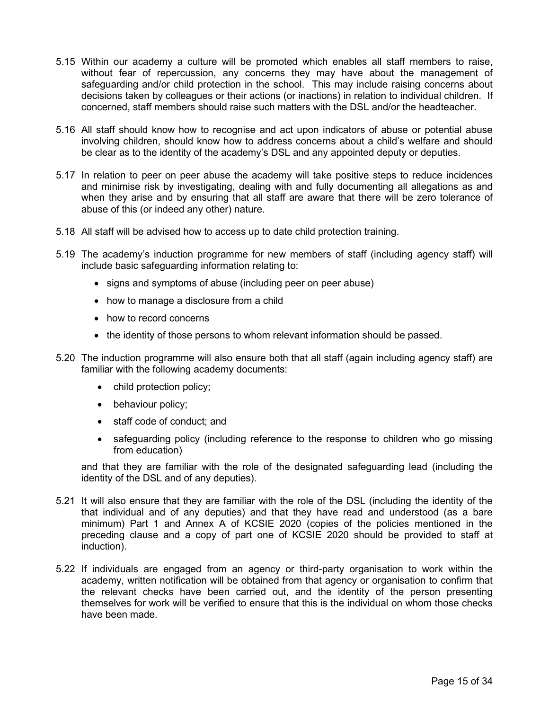- 5.15 Within our academy a culture will be promoted which enables all staff members to raise, without fear of repercussion, any concerns they may have about the management of safeguarding and/or child protection in the school. This may include raising concerns about decisions taken by colleagues or their actions (or inactions) in relation to individual children. If concerned, staff members should raise such matters with the DSL and/or the headteacher.
- 5.16 All staff should know how to recognise and act upon indicators of abuse or potential abuse involving children, should know how to address concerns about a child's welfare and should be clear as to the identity of the academy's DSL and any appointed deputy or deputies.
- 5.17 In relation to peer on peer abuse the academy will take positive steps to reduce incidences and minimise risk by investigating, dealing with and fully documenting all allegations as and when they arise and by ensuring that all staff are aware that there will be zero tolerance of abuse of this (or indeed any other) nature.
- 5.18 All staff will be advised how to access up to date child protection training.
- 5.19 The academy's induction programme for new members of staff (including agency staff) will include basic safeguarding information relating to:
	- signs and symptoms of abuse (including peer on peer abuse)
	- how to manage a disclosure from a child
	- how to record concerns
	- the identity of those persons to whom relevant information should be passed.
- 5.20 The induction programme will also ensure both that all staff (again including agency staff) are familiar with the following academy documents:
	- child protection policy;
	- behaviour policy;
	- staff code of conduct; and
	- safeguarding policy (including reference to the response to children who go missing from education)

and that they are familiar with the role of the designated safeguarding lead (including the identity of the DSL and of any deputies).

- 5.21 It will also ensure that they are familiar with the role of the DSL (including the identity of the that individual and of any deputies) and that they have read and understood (as a bare minimum) Part 1 and Annex A of KCSIE 2020 (copies of the policies mentioned in the preceding clause and a copy of part one of KCSIE 2020 should be provided to staff at induction).
- 5.22 If individuals are engaged from an agency or third-party organisation to work within the academy, written notification will be obtained from that agency or organisation to confirm that the relevant checks have been carried out, and the identity of the person presenting themselves for work will be verified to ensure that this is the individual on whom those checks have been made.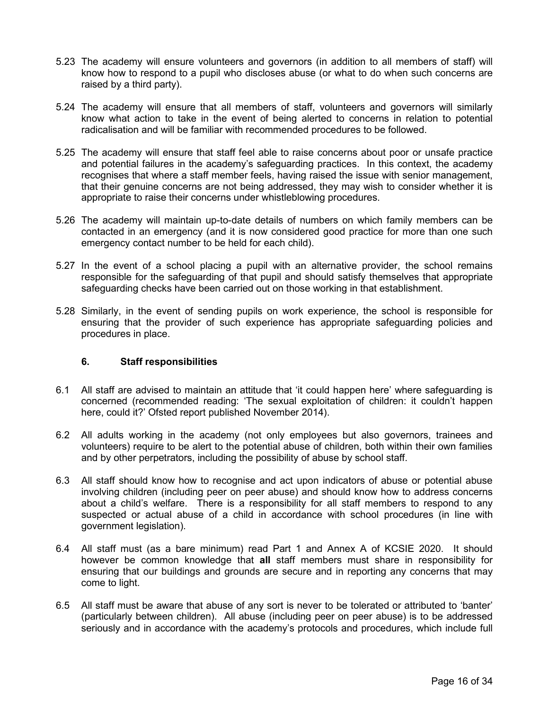- 5.23 The academy will ensure volunteers and governors (in addition to all members of staff) will know how to respond to a pupil who discloses abuse (or what to do when such concerns are raised by a third party).
- 5.24 The academy will ensure that all members of staff, volunteers and governors will similarly know what action to take in the event of being alerted to concerns in relation to potential radicalisation and will be familiar with recommended procedures to be followed.
- 5.25 The academy will ensure that staff feel able to raise concerns about poor or unsafe practice and potential failures in the academy's safeguarding practices. In this context, the academy recognises that where a staff member feels, having raised the issue with senior management, that their genuine concerns are not being addressed, they may wish to consider whether it is appropriate to raise their concerns under whistleblowing procedures.
- 5.26 The academy will maintain up-to-date details of numbers on which family members can be contacted in an emergency (and it is now considered good practice for more than one such emergency contact number to be held for each child).
- 5.27 In the event of a school placing a pupil with an alternative provider, the school remains responsible for the safeguarding of that pupil and should satisfy themselves that appropriate safeguarding checks have been carried out on those working in that establishment.
- 5.28 Similarly, in the event of sending pupils on work experience, the school is responsible for ensuring that the provider of such experience has appropriate safeguarding policies and procedures in place.

# <span id="page-15-0"></span>**6. Staff responsibilities**

- 6.1 All staff are advised to maintain an attitude that 'it could happen here' where safeguarding is concerned (recommended reading: 'The sexual exploitation of children: it couldn't happen here, could it?' Ofsted report published November 2014).
- 6.2 All adults working in the academy (not only employees but also governors, trainees and volunteers) require to be alert to the potential abuse of children, both within their own families and by other perpetrators, including the possibility of abuse by school staff.
- 6.3 All staff should know how to recognise and act upon indicators of abuse or potential abuse involving children (including peer on peer abuse) and should know how to address concerns about a child's welfare. There is a responsibility for all staff members to respond to any suspected or actual abuse of a child in accordance with school procedures (in line with government legislation).
- 6.4 All staff must (as a bare minimum) read Part 1 and Annex A of KCSIE 2020. It should however be common knowledge that **all** staff members must share in responsibility for ensuring that our buildings and grounds are secure and in reporting any concerns that may come to light.
- 6.5 All staff must be aware that abuse of any sort is never to be tolerated or attributed to 'banter' (particularly between children). All abuse (including peer on peer abuse) is to be addressed seriously and in accordance with the academy's protocols and procedures, which include full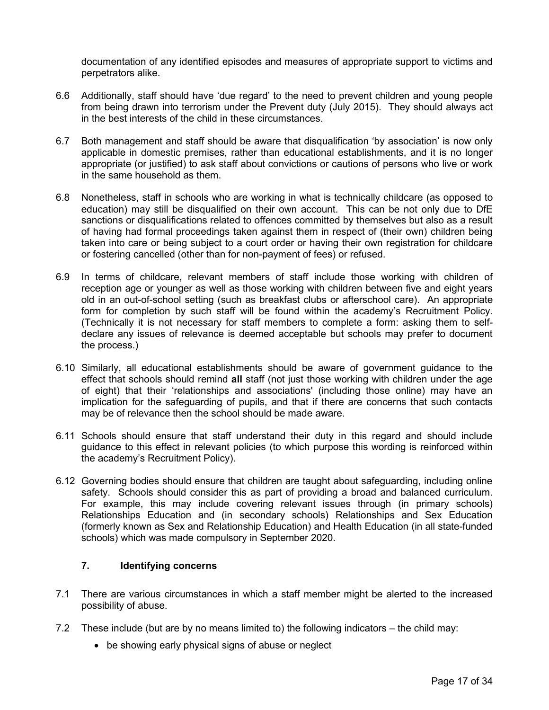documentation of any identified episodes and measures of appropriate support to victims and perpetrators alike.

- 6.6 Additionally, staff should have 'due regard' to the need to prevent children and young people from being drawn into terrorism under the Prevent duty (July 2015). They should always act in the best interests of the child in these circumstances.
- 6.7 Both management and staff should be aware that disqualification 'by association' is now only applicable in domestic premises, rather than educational establishments, and it is no longer appropriate (or justified) to ask staff about convictions or cautions of persons who live or work in the same household as them.
- 6.8 Nonetheless, staff in schools who are working in what is technically childcare (as opposed to education) may still be disqualified on their own account. This can be not only due to DfE sanctions or disqualifications related to offences committed by themselves but also as a result of having had formal proceedings taken against them in respect of (their own) children being taken into care or being subject to a court order or having their own registration for childcare or fostering cancelled (other than for non-payment of fees) or refused.
- 6.9 In terms of childcare, relevant members of staff include those working with children of reception age or younger as well as those working with children between five and eight years old in an out-of-school setting (such as breakfast clubs or afterschool care). An appropriate form for completion by such staff will be found within the academy's Recruitment Policy. (Technically it is not necessary for staff members to complete a form: asking them to selfdeclare any issues of relevance is deemed acceptable but schools may prefer to document the process.)
- 6.10 Similarly, all educational establishments should be aware of government guidance to the effect that schools should remind **all** staff (not just those working with children under the age of eight) that their 'relationships and associations' (including those online) may have an implication for the safeguarding of pupils, and that if there are concerns that such contacts may be of relevance then the school should be made aware.
- 6.11 Schools should ensure that staff understand their duty in this regard and should include guidance to this effect in relevant policies (to which purpose this wording is reinforced within the academy's Recruitment Policy).
- 6.12 Governing bodies should ensure that children are taught about safeguarding, including online safety. Schools should consider this as part of providing a broad and balanced curriculum. For example, this may include covering relevant issues through (in primary schools) Relationships Education and (in secondary schools) Relationships and Sex Education (formerly known as Sex and Relationship Education) and Health Education (in all state-funded schools) which was made compulsory in September 2020.

# <span id="page-16-0"></span>**7. Identifying concerns**

- 7.1 There are various circumstances in which a staff member might be alerted to the increased possibility of abuse.
- 7.2 These include (but are by no means limited to) the following indicators the child may:
	- be showing early physical signs of abuse or neglect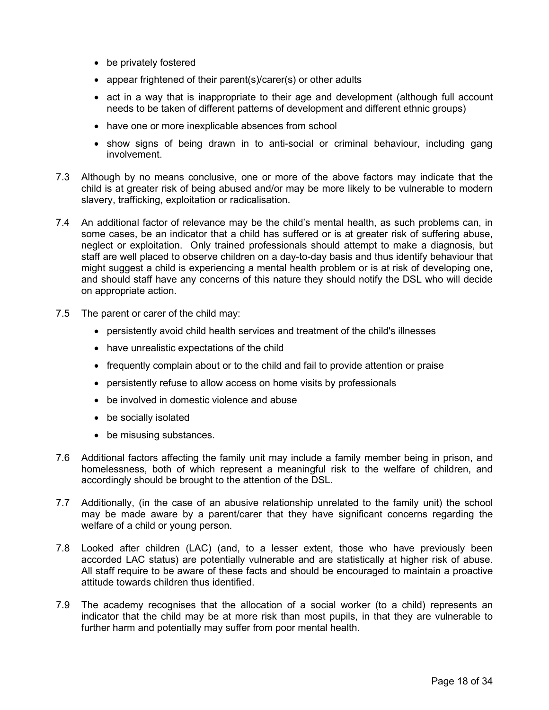- be privately fostered
- appear frightened of their parent(s)/carer(s) or other adults
- act in a way that is inappropriate to their age and development (although full account needs to be taken of different patterns of development and different ethnic groups)
- have one or more inexplicable absences from school
- show signs of being drawn in to anti-social or criminal behaviour, including gang involvement.
- 7.3 Although by no means conclusive, one or more of the above factors may indicate that the child is at greater risk of being abused and/or may be more likely to be vulnerable to modern slavery, trafficking, exploitation or radicalisation.
- 7.4 An additional factor of relevance may be the child's mental health, as such problems can, in some cases, be an indicator that a child has suffered or is at greater risk of suffering abuse, neglect or exploitation. Only trained professionals should attempt to make a diagnosis, but staff are well placed to observe children on a day-to-day basis and thus identify behaviour that might suggest a child is experiencing a mental health problem or is at risk of developing one, and should staff have any concerns of this nature they should notify the DSL who will decide on appropriate action.
- 7.5 The parent or carer of the child may:
	- persistently avoid child health services and treatment of the child's illnesses
	- have unrealistic expectations of the child
	- frequently complain about or to the child and fail to provide attention or praise
	- persistently refuse to allow access on home visits by professionals
	- be involved in domestic violence and abuse
	- be socially isolated
	- be misusing substances.
- 7.6 Additional factors affecting the family unit may include a family member being in prison, and homelessness, both of which represent a meaningful risk to the welfare of children, and accordingly should be brought to the attention of the DSL.
- 7.7 Additionally, (in the case of an abusive relationship unrelated to the family unit) the school may be made aware by a parent/carer that they have significant concerns regarding the welfare of a child or young person.
- 7.8 Looked after children (LAC) (and, to a lesser extent, those who have previously been accorded LAC status) are potentially vulnerable and are statistically at higher risk of abuse. All staff require to be aware of these facts and should be encouraged to maintain a proactive attitude towards children thus identified.
- 7.9 The academy recognises that the allocation of a social worker (to a child) represents an indicator that the child may be at more risk than most pupils, in that they are vulnerable to further harm and potentially may suffer from poor mental health.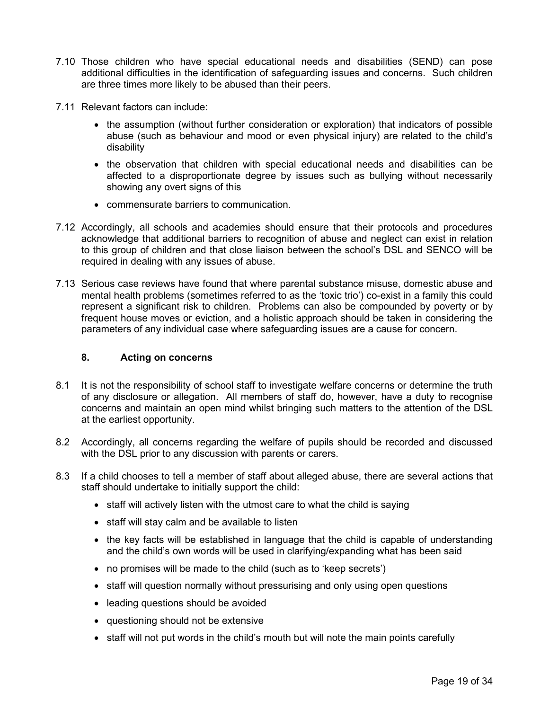- 7.10 Those children who have special educational needs and disabilities (SEND) can pose additional difficulties in the identification of safeguarding issues and concerns. Such children are three times more likely to be abused than their peers.
- 7.11 Relevant factors can include:
	- the assumption (without further consideration or exploration) that indicators of possible abuse (such as behaviour and mood or even physical injury) are related to the child's disability
	- the observation that children with special educational needs and disabilities can be affected to a disproportionate degree by issues such as bullying without necessarily showing any overt signs of this
	- commensurate barriers to communication.
- 7.12 Accordingly, all schools and academies should ensure that their protocols and procedures acknowledge that additional barriers to recognition of abuse and neglect can exist in relation to this group of children and that close liaison between the school's DSL and SENCO will be required in dealing with any issues of abuse.
- 7.13 Serious case reviews have found that where parental substance misuse, domestic abuse and mental health problems (sometimes referred to as the 'toxic trio') co-exist in a family this could represent a significant risk to children. Problems can also be compounded by poverty or by frequent house moves or eviction, and a holistic approach should be taken in considering the parameters of any individual case where safeguarding issues are a cause for concern.

### <span id="page-18-0"></span>**8. Acting on concerns**

- 8.1 It is not the responsibility of school staff to investigate welfare concerns or determine the truth of any disclosure or allegation. All members of staff do, however, have a duty to recognise concerns and maintain an open mind whilst bringing such matters to the attention of the DSL at the earliest opportunity.
- 8.2 Accordingly, all concerns regarding the welfare of pupils should be recorded and discussed with the DSL prior to any discussion with parents or carers.
- 8.3 If a child chooses to tell a member of staff about alleged abuse, there are several actions that staff should undertake to initially support the child:
	- staff will actively listen with the utmost care to what the child is saying
	- staff will stay calm and be available to listen
	- the key facts will be established in language that the child is capable of understanding and the child's own words will be used in clarifying/expanding what has been said
	- no promises will be made to the child (such as to 'keep secrets')
	- staff will question normally without pressurising and only using open questions
	- leading questions should be avoided
	- questioning should not be extensive
	- staff will not put words in the child's mouth but will note the main points carefully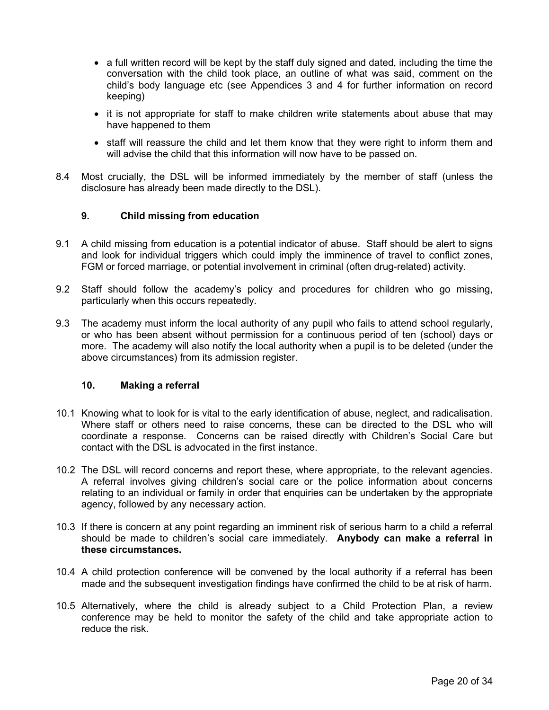- a full written record will be kept by the staff duly signed and dated, including the time the conversation with the child took place, an outline of what was said, comment on the child's body language etc (see Appendices 3 and 4 for further information on record keeping)
- it is not appropriate for staff to make children write statements about abuse that may have happened to them
- staff will reassure the child and let them know that they were right to inform them and will advise the child that this information will now have to be passed on.
- 8.4 Most crucially, the DSL will be informed immediately by the member of staff (unless the disclosure has already been made directly to the DSL).

#### <span id="page-19-0"></span>**9. Child missing from education**

- 9.1 A child missing from education is a potential indicator of abuse. Staff should be alert to signs and look for individual triggers which could imply the imminence of travel to conflict zones, FGM or forced marriage, or potential involvement in criminal (often drug-related) activity.
- 9.2 Staff should follow the academy's policy and procedures for children who go missing, particularly when this occurs repeatedly.
- 9.3 The academy must inform the local authority of any pupil who fails to attend school regularly, or who has been absent without permission for a continuous period of ten (school) days or more. The academy will also notify the local authority when a pupil is to be deleted (under the above circumstances) from its admission register.

# <span id="page-19-1"></span>**10. Making a referral**

- 10.1 Knowing what to look for is vital to the early identification of abuse, neglect, and radicalisation. Where staff or others need to raise concerns, these can be directed to the DSL who will coordinate a response. Concerns can be raised directly with Children's Social Care but contact with the DSL is advocated in the first instance.
- 10.2 The DSL will record concerns and report these, where appropriate, to the relevant agencies. A referral involves giving children's social care or the police information about concerns relating to an individual or family in order that enquiries can be undertaken by the appropriate agency, followed by any necessary action.
- 10.3 If there is concern at any point regarding an imminent risk of serious harm to a child a referral should be made to children's social care immediately. **Anybody can make a referral in these circumstances.**
- 10.4 A child protection conference will be convened by the local authority if a referral has been made and the subsequent investigation findings have confirmed the child to be at risk of harm.
- 10.5 Alternatively, where the child is already subject to a Child Protection Plan, a review conference may be held to monitor the safety of the child and take appropriate action to reduce the risk.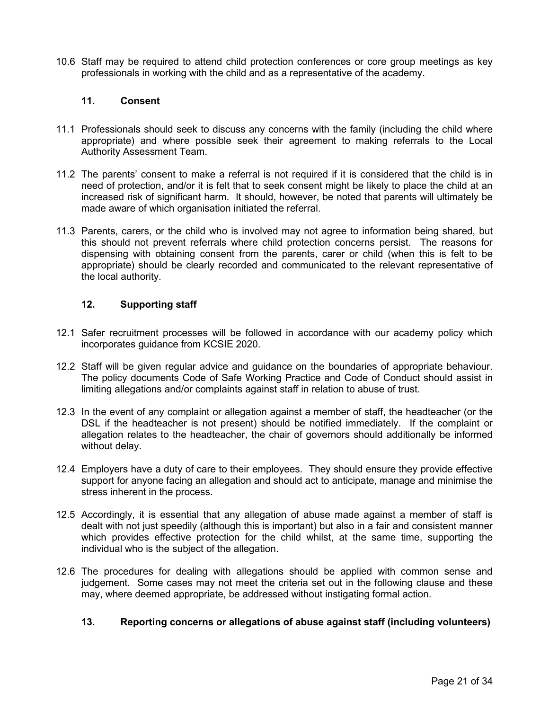10.6 Staff may be required to attend child protection conferences or core group meetings as key professionals in working with the child and as a representative of the academy.

#### <span id="page-20-0"></span>**11. Consent**

- 11.1 Professionals should seek to discuss any concerns with the family (including the child where appropriate) and where possible seek their agreement to making referrals to the Local Authority Assessment Team.
- 11.2 The parents' consent to make a referral is not required if it is considered that the child is in need of protection, and/or it is felt that to seek consent might be likely to place the child at an increased risk of significant harm. It should, however, be noted that parents will ultimately be made aware of which organisation initiated the referral.
- 11.3 Parents, carers, or the child who is involved may not agree to information being shared, but this should not prevent referrals where child protection concerns persist. The reasons for dispensing with obtaining consent from the parents, carer or child (when this is felt to be appropriate) should be clearly recorded and communicated to the relevant representative of the local authority.

#### <span id="page-20-1"></span>**12. Supporting staff**

- 12.1 Safer recruitment processes will be followed in accordance with our academy policy which incorporates guidance from KCSIE 2020.
- 12.2 Staff will be given regular advice and guidance on the boundaries of appropriate behaviour. The policy documents Code of Safe Working Practice and Code of Conduct should assist in limiting allegations and/or complaints against staff in relation to abuse of trust.
- 12.3 In the event of any complaint or allegation against a member of staff, the headteacher (or the DSL if the headteacher is not present) should be notified immediately. If the complaint or allegation relates to the headteacher, the chair of governors should additionally be informed without delay.
- 12.4 Employers have a duty of care to their employees. They should ensure they provide effective support for anyone facing an allegation and should act to anticipate, manage and minimise the stress inherent in the process.
- 12.5 Accordingly, it is essential that any allegation of abuse made against a member of staff is dealt with not just speedily (although this is important) but also in a fair and consistent manner which provides effective protection for the child whilst, at the same time, supporting the individual who is the subject of the allegation.
- 12.6 The procedures for dealing with allegations should be applied with common sense and judgement. Some cases may not meet the criteria set out in the following clause and these may, where deemed appropriate, be addressed without instigating formal action.

# <span id="page-20-2"></span>**13. Reporting concerns or allegations of abuse against staff (including volunteers)**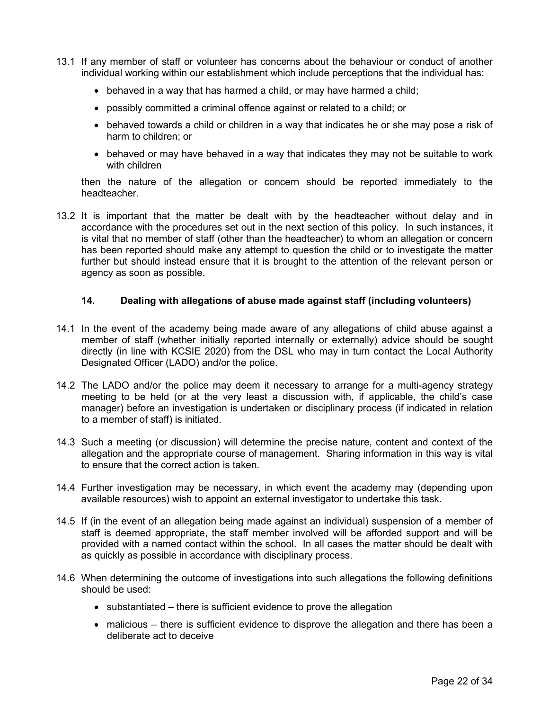- 13.1 If any member of staff or volunteer has concerns about the behaviour or conduct of another individual working within our establishment which include perceptions that the individual has:
	- behaved in a way that has harmed a child, or may have harmed a child;
	- possibly committed a criminal offence against or related to a child; or
	- behaved towards a child or children in a way that indicates he or she may pose a risk of harm to children; or
	- behaved or may have behaved in a way that indicates they may not be suitable to work with children

then the nature of the allegation or concern should be reported immediately to the headteacher.

13.2 It is important that the matter be dealt with by the headteacher without delay and in accordance with the procedures set out in the next section of this policy. In such instances, it is vital that no member of staff (other than the headteacher) to whom an allegation or concern has been reported should make any attempt to question the child or to investigate the matter further but should instead ensure that it is brought to the attention of the relevant person or agency as soon as possible.

#### <span id="page-21-0"></span>**14. Dealing with allegations of abuse made against staff (including volunteers)**

- 14.1 In the event of the academy being made aware of any allegations of child abuse against a member of staff (whether initially reported internally or externally) advice should be sought directly (in line with KCSIE 2020) from the DSL who may in turn contact the Local Authority Designated Officer (LADO) and/or the police.
- 14.2 The LADO and/or the police may deem it necessary to arrange for a multi-agency strategy meeting to be held (or at the very least a discussion with, if applicable, the child's case manager) before an investigation is undertaken or disciplinary process (if indicated in relation to a member of staff) is initiated.
- 14.3 Such a meeting (or discussion) will determine the precise nature, content and context of the allegation and the appropriate course of management. Sharing information in this way is vital to ensure that the correct action is taken.
- 14.4 Further investigation may be necessary, in which event the academy may (depending upon available resources) wish to appoint an external investigator to undertake this task.
- 14.5 If (in the event of an allegation being made against an individual) suspension of a member of staff is deemed appropriate, the staff member involved will be afforded support and will be provided with a named contact within the school. In all cases the matter should be dealt with as quickly as possible in accordance with disciplinary process.
- 14.6 When determining the outcome of investigations into such allegations the following definitions should be used:
	- substantiated there is sufficient evidence to prove the allegation
	- malicious there is sufficient evidence to disprove the allegation and there has been a deliberate act to deceive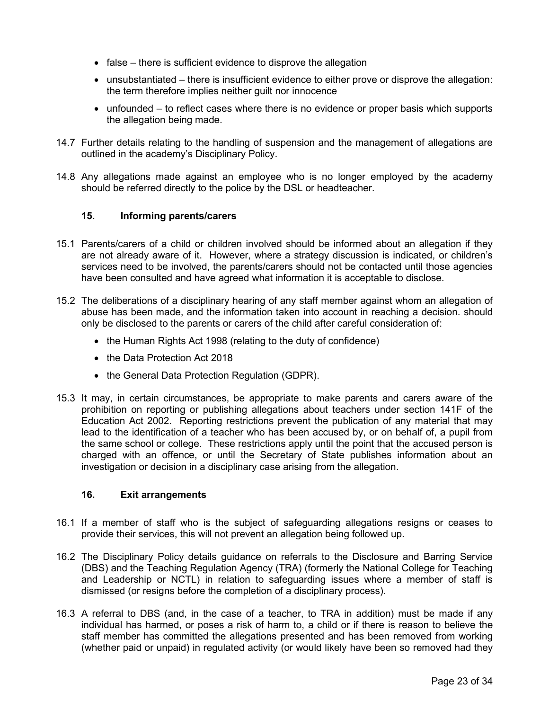- false there is sufficient evidence to disprove the allegation
- unsubstantiated there is insufficient evidence to either prove or disprove the allegation: the term therefore implies neither guilt nor innocence
- unfounded to reflect cases where there is no evidence or proper basis which supports the allegation being made.
- 14.7 Further details relating to the handling of suspension and the management of allegations are outlined in the academy's Disciplinary Policy.
- 14.8 Any allegations made against an employee who is no longer employed by the academy should be referred directly to the police by the DSL or headteacher.

#### <span id="page-22-0"></span>**15. Informing parents/carers**

- 15.1 Parents/carers of a child or children involved should be informed about an allegation if they are not already aware of it. However, where a strategy discussion is indicated, or children's services need to be involved, the parents/carers should not be contacted until those agencies have been consulted and have agreed what information it is acceptable to disclose.
- 15.2 The deliberations of a disciplinary hearing of any staff member against whom an allegation of abuse has been made, and the information taken into account in reaching a decision. should only be disclosed to the parents or carers of the child after careful consideration of:
	- the Human Rights Act 1998 (relating to the duty of confidence)
	- the Data Protection Act 2018
	- the General Data Protection Regulation (GDPR).
- 15.3 It may, in certain circumstances, be appropriate to make parents and carers aware of the prohibition on reporting or publishing allegations about teachers under section 141F of the Education Act 2002. Reporting restrictions prevent the publication of any material that may lead to the identification of a teacher who has been accused by, or on behalf of, a pupil from the same school or college. These restrictions apply until the point that the accused person is charged with an offence, or until the Secretary of State publishes information about an investigation or decision in a disciplinary case arising from the allegation.

#### <span id="page-22-1"></span>**16. Exit arrangements**

- 16.1 If a member of staff who is the subject of safeguarding allegations resigns or ceases to provide their services, this will not prevent an allegation being followed up.
- 16.2 The Disciplinary Policy details guidance on referrals to the Disclosure and Barring Service (DBS) and the Teaching Regulation Agency (TRA) (formerly the National College for Teaching and Leadership or NCTL) in relation to safeguarding issues where a member of staff is dismissed (or resigns before the completion of a disciplinary process).
- 16.3 A referral to DBS (and, in the case of a teacher, to TRA in addition) must be made if any individual has harmed, or poses a risk of harm to, a child or if there is reason to believe the staff member has committed the allegations presented and has been removed from working (whether paid or unpaid) in regulated activity (or would likely have been so removed had they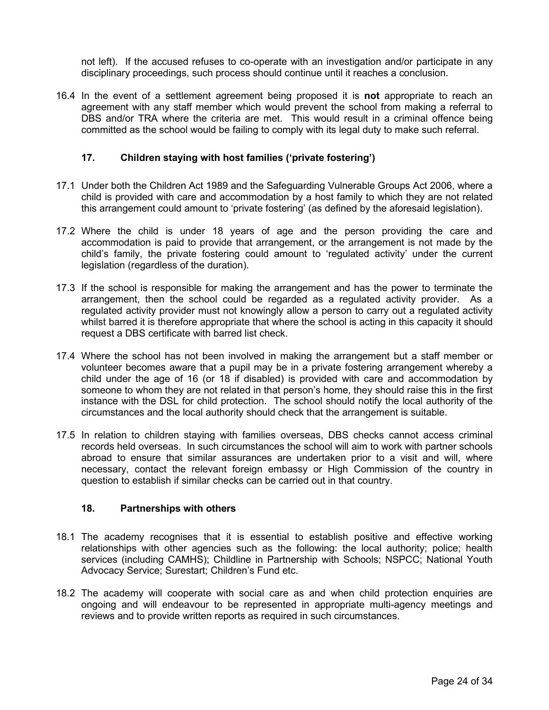not left). If the accused refuses to co-operate with an investigation and/or participate in any disciplinary proceedings, such process should continue until it reaches a conclusion.

16.4 In the event of a settlement agreement being proposed it is **not** appropriate to reach an agreement with any staff member which would prevent the school from making a referral to DBS and/or TRA where the criteria are met. This would result in a criminal offence being committed as the school would be failing to comply with its legal duty to make such referral.

# <span id="page-23-0"></span>**17. Children staying with host families ('private fostering')**

- 17.1 Under both the Children Act 1989 and the Safeguarding Vulnerable Groups Act 2006, where a child is provided with care and accommodation by a host family to which they are not related this arrangement could amount to 'private fostering' (as defined by the aforesaid legislation).
- 17.2 Where the child is under 18 years of age and the person providing the care and accommodation is paid to provide that arrangement, or the arrangement is not made by the child's family, the private fostering could amount to 'regulated activity' under the current legislation (regardless of the duration).
- 17.3 If the school is responsible for making the arrangement and has the power to terminate the arrangement, then the school could be regarded as a regulated activity provider. As a regulated activity provider must not knowingly allow a person to carry out a regulated activity whilst barred it is therefore appropriate that where the school is acting in this capacity it should request a DBS certificate with barred list check.
- 17.4 Where the school has not been involved in making the arrangement but a staff member or volunteer becomes aware that a pupil may be in a private fostering arrangement whereby a child under the age of 16 (or 18 if disabled) is provided with care and accommodation by someone to whom they are not related in that person's home, they should raise this in the first instance with the DSL for child protection. The school should notify the local authority of the circumstances and the local authority should check that the arrangement is suitable.
- 17.5 In relation to children staying with families overseas, DBS checks cannot access criminal records held overseas. In such circumstances the school will aim to work with partner schools abroad to ensure that similar assurances are undertaken prior to a visit and will, where necessary, contact the relevant foreign embassy or High Commission of the country in question to establish if similar checks can be carried out in that country.

#### <span id="page-23-1"></span>**18. Partnerships with others**

- 18.1 The academy recognises that it is essential to establish positive and effective working relationships with other agencies such as the following: the local authority; police; health services (including CAMHS); Childline in Partnership with Schools; NSPCC; National Youth Advocacy Service; Surestart; Children's Fund etc.
- 18.2 The academy will cooperate with social care as and when child protection enquiries are ongoing and will endeavour to be represented in appropriate multi-agency meetings and reviews and to provide written reports as required in such circumstances.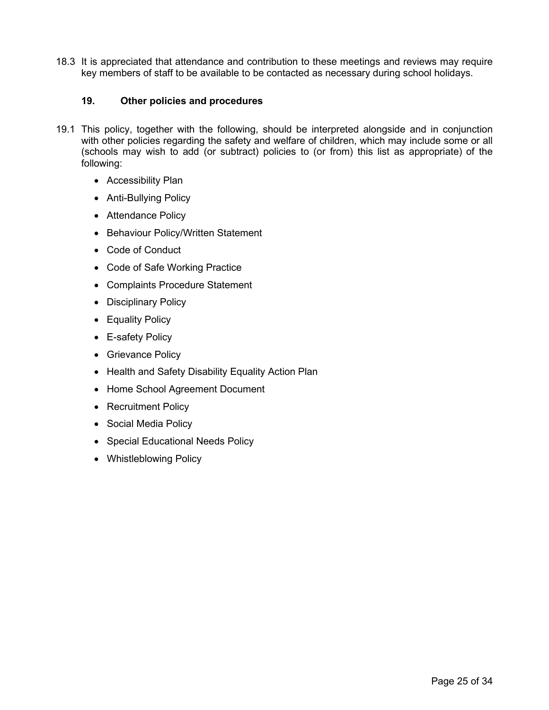18.3 It is appreciated that attendance and contribution to these meetings and reviews may require key members of staff to be available to be contacted as necessary during school holidays.

# **19. Other policies and procedures**

- <span id="page-24-0"></span>19.1 This policy, together with the following, should be interpreted alongside and in conjunction with other policies regarding the safety and welfare of children, which may include some or all (schools may wish to add (or subtract) policies to (or from) this list as appropriate) of the following:
	- Accessibility Plan
	- Anti-Bullying Policy
	- Attendance Policy
	- Behaviour Policy/Written Statement
	- Code of Conduct
	- Code of Safe Working Practice
	- Complaints Procedure Statement
	- Disciplinary Policy
	- Equality Policy
	- E-safety Policy
	- Grievance Policy
	- Health and Safety Disability Equality Action Plan
	- Home School Agreement Document
	- Recruitment Policy
	- Social Media Policy
	- Special Educational Needs Policy
	- Whistleblowing Policy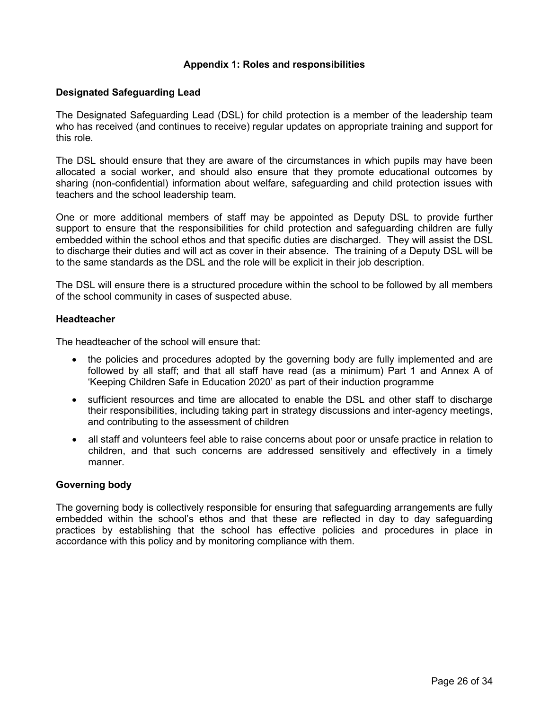### <span id="page-25-0"></span>**Appendix 1: Roles and responsibilities**

#### **Designated Safeguarding Lead**

The Designated Safeguarding Lead (DSL) for child protection is a member of the leadership team who has received (and continues to receive) regular updates on appropriate training and support for this role.

The DSL should ensure that they are aware of the circumstances in which pupils may have been allocated a social worker, and should also ensure that they promote educational outcomes by sharing (non-confidential) information about welfare, safeguarding and child protection issues with teachers and the school leadership team.

One or more additional members of staff may be appointed as Deputy DSL to provide further support to ensure that the responsibilities for child protection and safeguarding children are fully embedded within the school ethos and that specific duties are discharged. They will assist the DSL to discharge their duties and will act as cover in their absence. The training of a Deputy DSL will be to the same standards as the DSL and the role will be explicit in their job description.

The DSL will ensure there is a structured procedure within the school to be followed by all members of the school community in cases of suspected abuse.

#### **Headteacher**

The headteacher of the school will ensure that:

- the policies and procedures adopted by the governing body are fully implemented and are followed by all staff; and that all staff have read (as a minimum) Part 1 and Annex A of 'Keeping Children Safe in Education 2020' as part of their induction programme
- sufficient resources and time are allocated to enable the DSL and other staff to discharge their responsibilities, including taking part in strategy discussions and inter-agency meetings, and contributing to the assessment of children
- all staff and volunteers feel able to raise concerns about poor or unsafe practice in relation to children, and that such concerns are addressed sensitively and effectively in a timely manner.

#### **Governing body**

The governing body is collectively responsible for ensuring that safeguarding arrangements are fully embedded within the school's ethos and that these are reflected in day to day safeguarding practices by establishing that the school has effective policies and procedures in place in accordance with this policy and by monitoring compliance with them.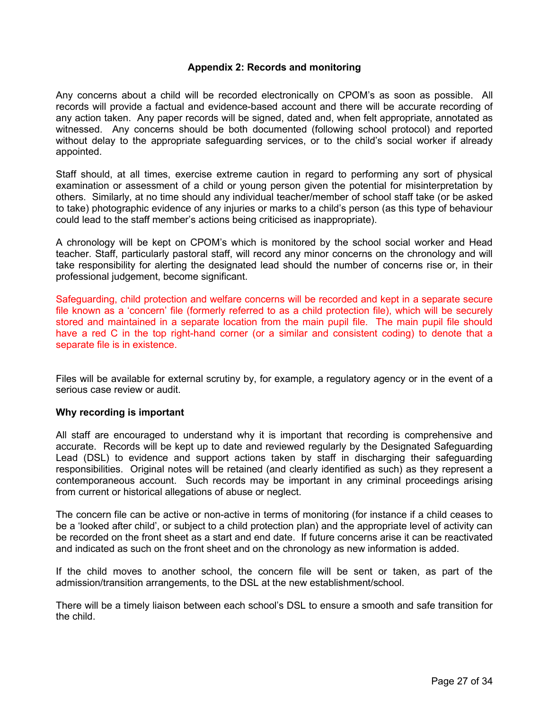#### <span id="page-26-1"></span>**Appendix 2: Records and monitoring**

<span id="page-26-0"></span>Any concerns about a child will be recorded electronically on CPOM's as soon as possible. All records will provide a factual and evidence-based account and there will be accurate recording of any action taken. Any paper records will be signed, dated and, when felt appropriate, annotated as witnessed. Any concerns should be both documented (following school protocol) and reported without delay to the appropriate safeguarding services, or to the child's social worker if already appointed.

Staff should, at all times, exercise extreme caution in regard to performing any sort of physical examination or assessment of a child or young person given the potential for misinterpretation by others. Similarly, at no time should any individual teacher/member of school staff take (or be asked to take) photographic evidence of any injuries or marks to a child's person (as this type of behaviour could lead to the staff member's actions being criticised as inappropriate).

A chronology will be kept on CPOM's which is monitored by the school social worker and Head teacher. Staff, particularly pastoral staff, will record any minor concerns on the chronology and will take responsibility for alerting the designated lead should the number of concerns rise or, in their professional judgement, become significant.

Safeguarding, child protection and welfare concerns will be recorded and kept in a separate secure file known as a 'concern' file (formerly referred to as a child protection file), which will be securely stored and maintained in a separate location from the main pupil file. The main pupil file should have a red C in the top right-hand corner (or a similar and consistent coding) to denote that a separate file is in existence.

Files will be available for external scrutiny by, for example, a regulatory agency or in the event of a serious case review or audit.

#### **Why recording is important**

All staff are encouraged to understand why it is important that recording is comprehensive and accurate. Records will be kept up to date and reviewed regularly by the Designated Safeguarding Lead (DSL) to evidence and support actions taken by staff in discharging their safeguarding responsibilities. Original notes will be retained (and clearly identified as such) as they represent a contemporaneous account. Such records may be important in any criminal proceedings arising from current or historical allegations of abuse or neglect.

The concern file can be active or non-active in terms of monitoring (for instance if a child ceases to be a 'looked after child', or subject to a child protection plan) and the appropriate level of activity can be recorded on the front sheet as a start and end date. If future concerns arise it can be reactivated and indicated as such on the front sheet and on the chronology as new information is added.

If the child moves to another school, the concern file will be sent or taken, as part of the admission/transition arrangements, to the DSL at the new establishment/school.

There will be a timely liaison between each school's DSL to ensure a smooth and safe transition for the child.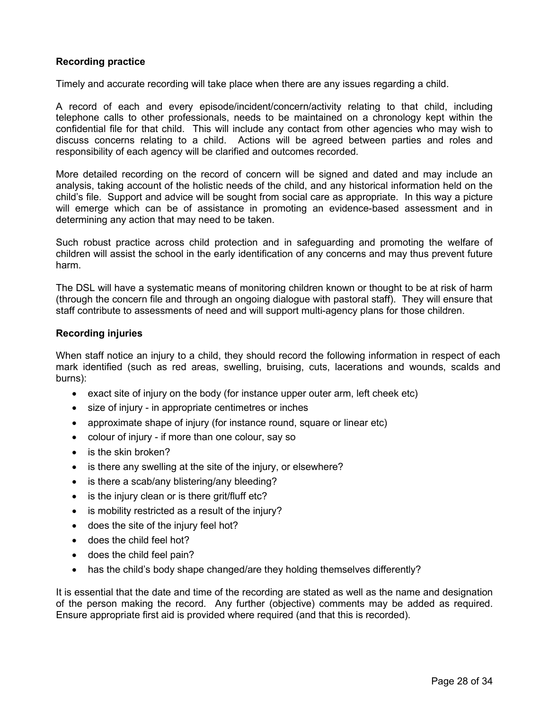# **Recording practice**

Timely and accurate recording will take place when there are any issues regarding a child.

A record of each and every episode/incident/concern/activity relating to that child, including telephone calls to other professionals, needs to be maintained on a chronology kept within the confidential file for that child. This will include any contact from other agencies who may wish to discuss concerns relating to a child. Actions will be agreed between parties and roles and responsibility of each agency will be clarified and outcomes recorded.

More detailed recording on the record of concern will be signed and dated and may include an analysis, taking account of the holistic needs of the child, and any historical information held on the child's file. Support and advice will be sought from social care as appropriate. In this way a picture will emerge which can be of assistance in promoting an evidence-based assessment and in determining any action that may need to be taken.

Such robust practice across child protection and in safeguarding and promoting the welfare of children will assist the school in the early identification of any concerns and may thus prevent future harm.

The DSL will have a systematic means of monitoring children known or thought to be at risk of harm (through the concern file and through an ongoing dialogue with pastoral staff). They will ensure that staff contribute to assessments of need and will support multi-agency plans for those children.

#### **Recording injuries**

When staff notice an injury to a child, they should record the following information in respect of each mark identified (such as red areas, swelling, bruising, cuts, lacerations and wounds, scalds and burns):

- exact site of injury on the body (for instance upper outer arm, left cheek etc)
- size of injury in appropriate centimetres or inches
- approximate shape of injury (for instance round, square or linear etc)
- colour of injury if more than one colour, say so
- is the skin broken?
- is there any swelling at the site of the injury, or elsewhere?
- is there a scab/any blistering/any bleeding?
- is the injury clean or is there grit/fluff etc?
- is mobility restricted as a result of the injury?
- does the site of the injury feel hot?
- does the child feel hot?
- does the child feel pain?
- has the child's body shape changed/are they holding themselves differently?

It is essential that the date and time of the recording are stated as well as the name and designation of the person making the record. Any further (objective) comments may be added as required. Ensure appropriate first aid is provided where required (and that this is recorded).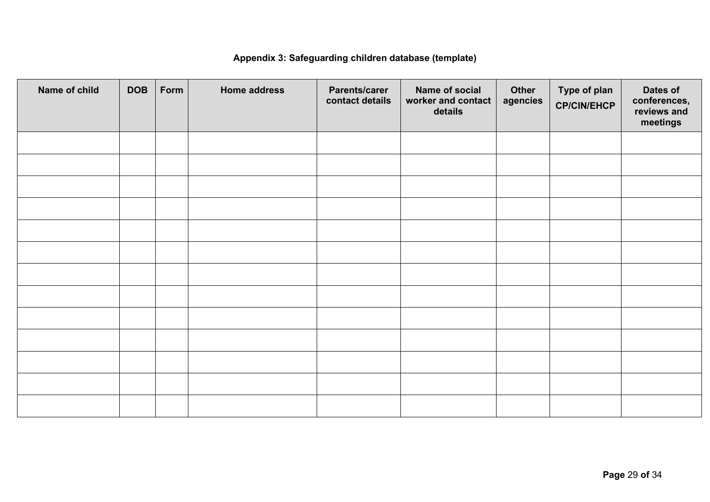# <span id="page-28-1"></span>**Appendix 3: Safeguarding children database (template)**

<span id="page-28-0"></span>

| Name of child | <b>DOB</b> | Form | Home address | Parents/carer<br>contact details | Name of social<br>worker and contact<br>details | Other<br>agencies | Type of plan<br><b>CP/CIN/EHCP</b> | Dates of<br>conferences,<br>reviews and<br>meetings |
|---------------|------------|------|--------------|----------------------------------|-------------------------------------------------|-------------------|------------------------------------|-----------------------------------------------------|
|               |            |      |              |                                  |                                                 |                   |                                    |                                                     |
|               |            |      |              |                                  |                                                 |                   |                                    |                                                     |
|               |            |      |              |                                  |                                                 |                   |                                    |                                                     |
|               |            |      |              |                                  |                                                 |                   |                                    |                                                     |
|               |            |      |              |                                  |                                                 |                   |                                    |                                                     |
|               |            |      |              |                                  |                                                 |                   |                                    |                                                     |
|               |            |      |              |                                  |                                                 |                   |                                    |                                                     |
|               |            |      |              |                                  |                                                 |                   |                                    |                                                     |
|               |            |      |              |                                  |                                                 |                   |                                    |                                                     |
|               |            |      |              |                                  |                                                 |                   |                                    |                                                     |
|               |            |      |              |                                  |                                                 |                   |                                    |                                                     |
|               |            |      |              |                                  |                                                 |                   |                                    |                                                     |
|               |            |      |              |                                  |                                                 |                   |                                    |                                                     |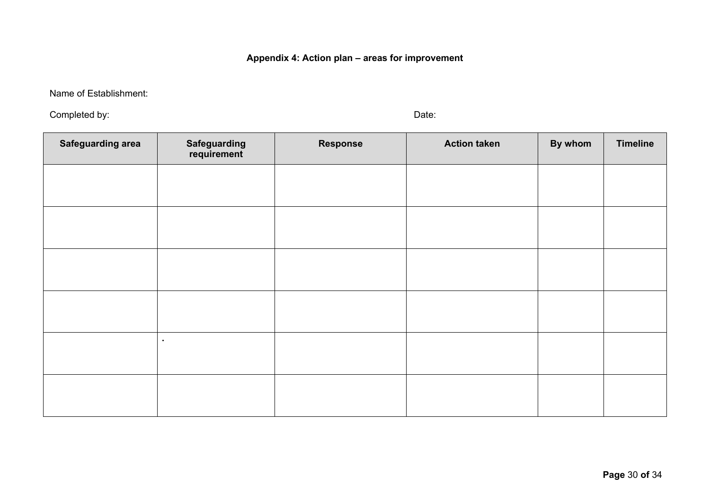**Appendix 4: Action plan – areas for improvement**

Name of Establishment:

Completed by: Date:

<span id="page-29-1"></span>

<span id="page-29-0"></span>

| <b>Safeguarding area</b> | Safeguarding<br>requirement | <b>Response</b> | <b>Action taken</b> | By whom | <b>Timeline</b> |
|--------------------------|-----------------------------|-----------------|---------------------|---------|-----------------|
|                          |                             |                 |                     |         |                 |
|                          |                             |                 |                     |         |                 |
|                          |                             |                 |                     |         |                 |
|                          |                             |                 |                     |         |                 |
|                          |                             |                 |                     |         |                 |
|                          | $\blacksquare$              |                 |                     |         |                 |
|                          |                             |                 |                     |         |                 |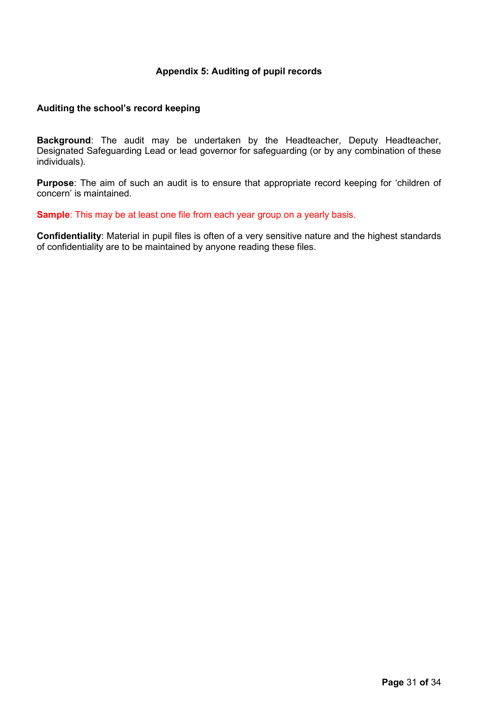# <span id="page-30-1"></span>**Appendix 5: Auditing of pupil records**

#### <span id="page-30-0"></span>**Auditing the school's record keeping**

**Background**: The audit may be undertaken by the Headteacher, Deputy Headteacher, Designated Safeguarding Lead or lead governor for safeguarding (or by any combination of these individuals).

**Purpose**: The aim of such an audit is to ensure that appropriate record keeping for 'children of concern' is maintained.

**Sample**: This may be at least one file from each year group on a yearly basis.

**Confidentiality**: Material in pupil files is often of a very sensitive nature and the highest standards of confidentiality are to be maintained by anyone reading these files.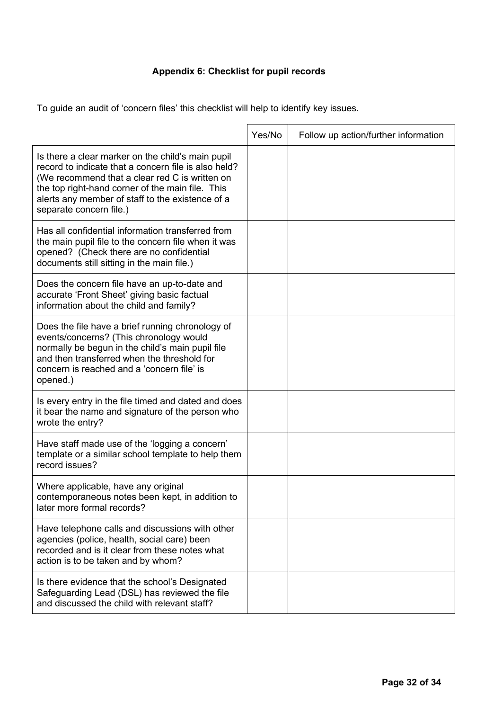# <span id="page-31-1"></span>**Appendix 6: Checklist for pupil records**

<span id="page-31-0"></span>To guide an audit of 'concern files' this checklist will help to identify key issues.

|                                                                                                                                                                                                                                                                                                | Yes/No | Follow up action/further information |
|------------------------------------------------------------------------------------------------------------------------------------------------------------------------------------------------------------------------------------------------------------------------------------------------|--------|--------------------------------------|
| Is there a clear marker on the child's main pupil<br>record to indicate that a concern file is also held?<br>(We recommend that a clear red C is written on<br>the top right-hand corner of the main file. This<br>alerts any member of staff to the existence of a<br>separate concern file.) |        |                                      |
| Has all confidential information transferred from<br>the main pupil file to the concern file when it was<br>opened? (Check there are no confidential<br>documents still sitting in the main file.)                                                                                             |        |                                      |
| Does the concern file have an up-to-date and<br>accurate 'Front Sheet' giving basic factual<br>information about the child and family?                                                                                                                                                         |        |                                      |
| Does the file have a brief running chronology of<br>events/concerns? (This chronology would<br>normally be begun in the child's main pupil file<br>and then transferred when the threshold for<br>concern is reached and a 'concern file' is<br>opened.)                                       |        |                                      |
| Is every entry in the file timed and dated and does<br>it bear the name and signature of the person who<br>wrote the entry?                                                                                                                                                                    |        |                                      |
| Have staff made use of the 'logging a concern'<br>template or a similar school template to help them<br>record issues?                                                                                                                                                                         |        |                                      |
| Where applicable, have any original<br>contemporaneous notes been kept, in addition to<br>later more formal records?                                                                                                                                                                           |        |                                      |
| Have telephone calls and discussions with other<br>agencies (police, health, social care) been<br>recorded and is it clear from these notes what<br>action is to be taken and by whom?                                                                                                         |        |                                      |
| Is there evidence that the school's Designated<br>Safeguarding Lead (DSL) has reviewed the file<br>and discussed the child with relevant staff?                                                                                                                                                |        |                                      |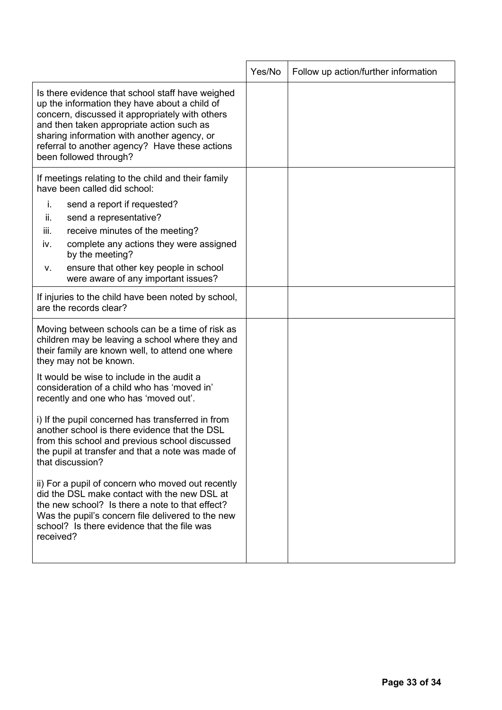<span id="page-32-0"></span>

|                                                                                                                                                                                                                                                                                                                              | Yes/No | Follow up action/further information |
|------------------------------------------------------------------------------------------------------------------------------------------------------------------------------------------------------------------------------------------------------------------------------------------------------------------------------|--------|--------------------------------------|
| Is there evidence that school staff have weighed<br>up the information they have about a child of<br>concern, discussed it appropriately with others<br>and then taken appropriate action such as<br>sharing information with another agency, or<br>referral to another agency? Have these actions<br>been followed through? |        |                                      |
| If meetings relating to the child and their family<br>have been called did school:                                                                                                                                                                                                                                           |        |                                      |
| send a report if requested?<br>i.<br>send a representative?<br>ii.<br>iii.<br>receive minutes of the meeting?<br>complete any actions they were assigned<br>İV.<br>by the meeting?<br>ensure that other key people in school<br>v.<br>were aware of any important issues?                                                    |        |                                      |
| If injuries to the child have been noted by school,<br>are the records clear?                                                                                                                                                                                                                                                |        |                                      |
| Moving between schools can be a time of risk as<br>children may be leaving a school where they and<br>their family are known well, to attend one where<br>they may not be known.                                                                                                                                             |        |                                      |
| It would be wise to include in the audit a<br>consideration of a child who has 'moved in'<br>recently and one who has 'moved out'.                                                                                                                                                                                           |        |                                      |
| i) If the pupil concerned has transferred in from<br>another school is there evidence that the DSL<br>from this school and previous school discussed<br>the pupil at transfer and that a note was made of<br>that discussion?                                                                                                |        |                                      |
| ii) For a pupil of concern who moved out recently<br>did the DSL make contact with the new DSL at<br>the new school? Is there a note to that effect?<br>Was the pupil's concern file delivered to the new<br>school? Is there evidence that the file was<br>received?                                                        |        |                                      |